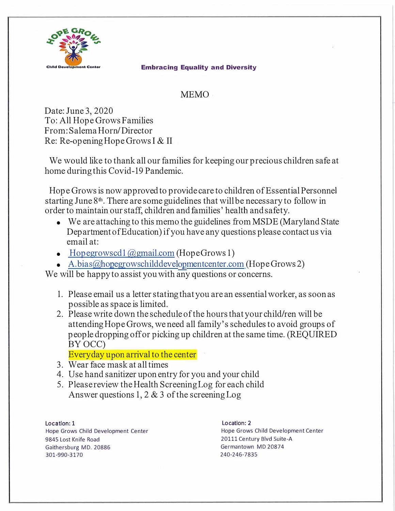

## **Embracing Equality and Diversity**

## MEMO

Date: June 3, 2020 To: All Hope Grows Families From: Salema Horn/ Director Re: Re-openingHopeGrowsI & II

We would like to thank all our families for keeping our precious children safe at home during this Covid-19 Pandemic.

Hope Grows is now approved to provide care to children of Essential Personnel starting June 8<sup>th</sup>. There are some guidelines that will be necessary to follow in order to maintain our staff, children and families' health and safety.

- We are attaching to this memo the guidelines from MSDE (Maryland State) Department of Education) if you have any questions please contact us via email at:
- Hopegrowscd1@gmail.com (Hope Grows 1)
- A.bias@hopegrowschilddevelopmentcenter.com (Hope Grows 2)

We will be happy to assist you with any questions or concerns.

- 1. Please email us a letter stating that you are an essential worker, as soon as possible as space is limited.
- 2. Please write down the schedule of the hours thatyour child/ren will be attendingHopeGrows, we need all family's schedules to avoid groups of people dropping off or picking up children at the same time. (REQUIRED BYOCC)

Everyday upon arrival to the center

- 3. Wear face mask at all times
- 4. Use hand sanitizer upon entry for you and your child
- 5. Please review the Health Screening Log for each child Answer questions 1, 2 & 3 of the screening Log

**Location: 1**  Hope Grows Child Development Center 9845 Lost Knife Road Gaithersburg MD. 20886 301-990-3170

Location: 2 Hope Grows Child Development Center 20111 Century Blvd Suite-A Germantown MD 20874 240-246-7835